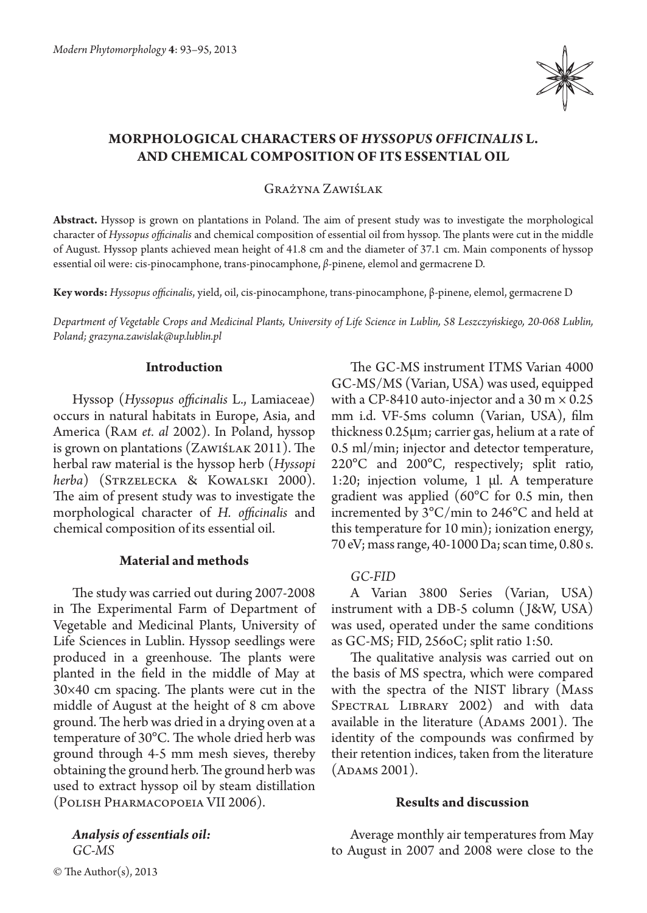

# **MORPHOLOGICAL CHARACTERS OF** *HYSSOPUS OFFICINALIS* **L. AND CHEMICAL COMPOSITION OF ITS ESSENTIAL OIL**

Grażyna Zawiślak

**Abstract.** Hyssop is grown on plantations in Poland. The aim of present study was to investigate the morphological character of *Hyssopus officinalis* and chemical composition of essential oil from hyssop. The plants were cut in the middle of August. Hyssop plants achieved mean height of 41.8 cm and the diameter of 37.1 cm. Main components of hyssop essential oil were: cis-pinocamphone, trans-pinocamphone, *β*-pinene, elemol and germacrene D.

**Key words:** *Hyssopus officinalis*, yield, oil, cis-pinocamphone, trans-pinocamphone, β-pinene, elemol, germacrene D

*Department of Vegetable Crops and Medicinal Plants, University of Life Science in Lublin, 58 Leszczyńskiego, 20-068 Lublin, Poland; grazyna.zawislak@up.lublin.pl*

# **Introduction**

Hyssop (*Hyssopus officinalis* L., Lamiaceae) occurs in natural habitats in Europe, Asia, and America (Ram *et. al* 2002). In Poland, hyssop is grown on plantations (Zawiślak 2011). The herbal raw material is the hyssop herb (*Hyssopi herba*) (Strzelecka & Kowalski 2000). The aim of present study was to investigate the morphological character of *H. officinalis* and chemical composition of its essential oil.

# **Material and methods**

The study was carried out during 2007-2008 in The Experimental Farm of Department of Vegetable and Medicinal Plants, University of Life Sciences in Lublin. Hyssop seedlings were produced in a greenhouse. The plants were planted in the field in the middle of May at 30×40 cm spacing. The plants were cut in the middle of August at the height of 8 cm above ground. The herb was dried in a drying oven at a temperature of 30°C. The whole dried herb was ground through 4-5 mm mesh sieves, thereby obtaining the ground herb. The ground herb was used to extract hyssop oil by steam distillation (Polish Pharmacopoeia VII 2006).

*Analysis of essentials oil: GC-MS*

The GC-MS instrument ITMS Varian 4000 GC-MS/MS (Varian, USA) was used, equipped with a CP-8410 auto-injector and a  $30 \text{ m} \times 0.25$ mm i.d. VF-5ms column (Varian, USA), film thickness 0.25μm; carrier gas, helium at a rate of 0.5 ml/min; injector and detector temperature, 220°C and 200°C, respectively; split ratio, 1:20; injection volume, 1 μl. A temperature gradient was applied (60°C for 0.5 min, then incremented by 3°C/min to 246°C and held at this temperature for 10 min); ionization energy, 70 eV; mass range, 40-1000 Da; scan time, 0.80 s.

# *GC-FID*

A Varian 3800 Series (Varian, USA) instrument with a DB-5 column ( J&W, USA) was used, operated under the same conditions as GC-MS; FID, 256oC; split ratio 1:50.

The qualitative analysis was carried out on the basis of MS spectra, which were compared with the spectra of the NIST library (Mass SPECTRAL LIBRARY 2002) and with data available in the literature (ADAMS 2001). The identity of the compounds was confirmed by their retention indices, taken from the literature (Adams 2001).

### **Results and discussion**

Average monthly air temperatures from May to August in 2007 and 2008 were close to the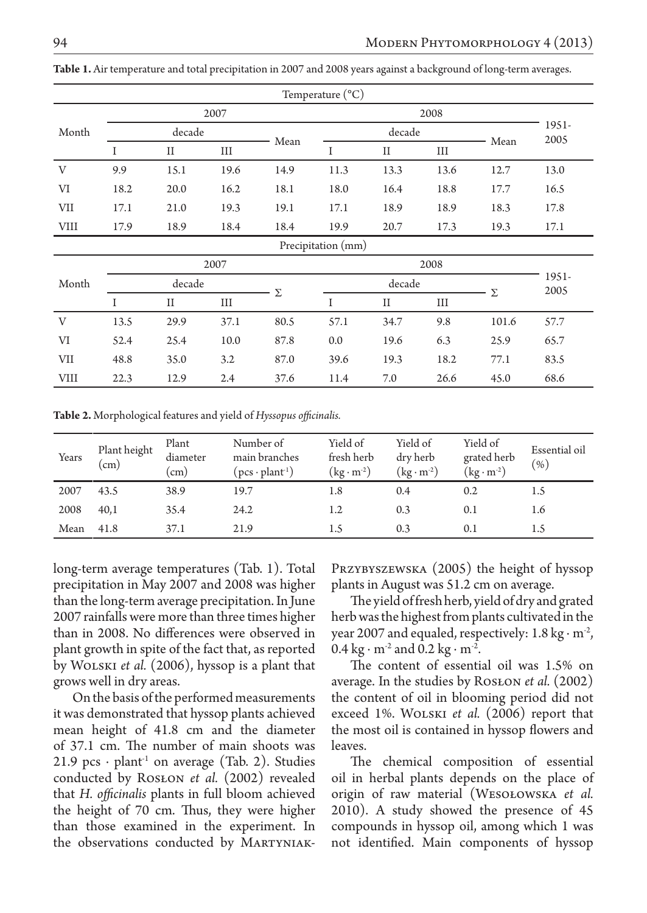|             |          |             |      |      | Temperature $({}^{\circ}C)$ |             |      |       |               |
|-------------|----------|-------------|------|------|-----------------------------|-------------|------|-------|---------------|
|             | 2007     |             |      |      |                             |             |      |       |               |
| Month       | decade   |             |      |      | decade                      |             |      |       | 1951-<br>2005 |
|             | $\bf{I}$ | $_{\rm II}$ | Ш    | Mean | I                           | $_{\rm II}$ | Ш    | Mean  |               |
| V           | 9.9      | 15.1        | 19.6 | 14.9 | 11.3                        | 13.3        | 13.6 | 12.7  | 13.0          |
| VI          | 18.2     | 20.0        | 16.2 | 18.1 | 18.0                        | 16.4        | 18.8 | 17.7  | 16.5          |
| VII         | 17.1     | 21.0        | 19.3 | 19.1 | 17.1                        | 18.9        | 18.9 | 18.3  | 17.8          |
| <b>VIII</b> | 17.9     | 18.9        | 18.4 | 18.4 | 19.9                        | 20.7        | 17.3 | 19.3  | 17.1          |
|             |          |             |      |      | Precipitation (mm)          |             |      |       |               |
|             | 2007     |             |      |      | 2008                        |             |      |       |               |
| Month       | decade   |             |      |      | decade                      |             |      |       | 1951-<br>2005 |
|             | I        | $_{\rm II}$ | Ш    | Σ    | I                           | $_{\rm II}$ | Ш    | Σ     |               |
| V           | 13.5     | 29.9        | 37.1 | 80.5 | 57.1                        | 34.7        | 9.8  | 101.6 | 57.7          |
| VI          | 52.4     | 25.4        | 10.0 | 87.8 | 0.0                         | 19.6        | 6.3  | 25.9  | 65.7          |
| VII         | 48.8     | 35.0        | 3.2  | 87.0 | 39.6                        | 19.3        | 18.2 | 77.1  | 83.5          |
| VIII        | 22.3     | 12.9        | 2.4  | 37.6 | 11.4                        | 7.0         | 26.6 | 45.0  | 68.6          |

**Table 1.** Air temperature and total precipitation in 2007 and 2008 years against a background of long-term averages.

**Table 2.** Morphological features and yield of *Hyssopus officinalis.*

| Years | Plant height<br>$\mathsf{cm}$ ) | Plant<br>diameter<br>$\mathsf{cm}$ | Number of<br>main branches<br>$(\text{pcs} \cdot \text{plant}^1)$ | Yield of<br>fresh herb<br>$\rm (kg\cdot m^{\text{-}2})$ | Yield of<br>dry herb<br>$(kg \cdot m^2)$ | Yield of<br>grated herb<br>$(\text{kg} \cdot \text{m}^{-2})$ | Essential oil<br>$(\%)$ |
|-------|---------------------------------|------------------------------------|-------------------------------------------------------------------|---------------------------------------------------------|------------------------------------------|--------------------------------------------------------------|-------------------------|
| 2007  | 43.5                            | 38.9                               | 19.7                                                              | 1.8                                                     | 0.4                                      | 0.2                                                          | 1.5                     |
| 2008  | 40.1                            | 35.4                               | 24.2                                                              | 1.2                                                     | 0.3                                      | 0.1                                                          | 1.6                     |
| Mean  | 41.8                            | 37.1                               | 21.9                                                              | 1.5                                                     | 0.3                                      | 0.1                                                          | 1.5                     |

long-term average temperatures (Tab. 1). Total precipitation in May 2007 and 2008 was higher than the long-term average precipitation. In June 2007 rainfalls were more than three times higher than in 2008. No differences were observed in plant growth in spite of the fact that, as reported by Wolski *et al.* (2006), hyssop is a plant that grows well in dry areas.

On the basis of the performed measurements it was demonstrated that hyssop plants achieved mean height of 41.8 cm and the diameter of 37.1 cm. The number of main shoots was 21.9 pcs  $\cdot$  plant<sup>1</sup> on average (Tab. 2). Studies conducted by Rosłon *et al.* (2002) revealed that *H. officinalis* plants in full bloom achieved the height of 70 cm. Thus, they were higher than those examined in the experiment. In the observations conducted by Martyniak-

Przybyszewska (2005) the height of hyssop plants in August was 51.2 cm on average.

The yield of fresh herb, yield of dry and grated herb was the highest from plants cultivated in the year 2007 and equaled, respectively: 1.8 kg  $\cdot$  m<sup>-2</sup>, 0.4 kg ⋅ m<sup>-2</sup> and 0.2 kg ⋅ m<sup>-2</sup>.

The content of essential oil was 1.5% on average. In the studies by Rosłon *et al.* (2002) the content of oil in blooming period did not exceed 1%. Wolski *et al.* (2006) report that the most oil is contained in hyssop flowers and leaves.

The chemical composition of essential oil in herbal plants depends on the place of origin of raw material (Wesołowska *et al.*  2010). A study showed the presence of 45 compounds in hyssop oil, among which 1 was not identified. Main components of hyssop